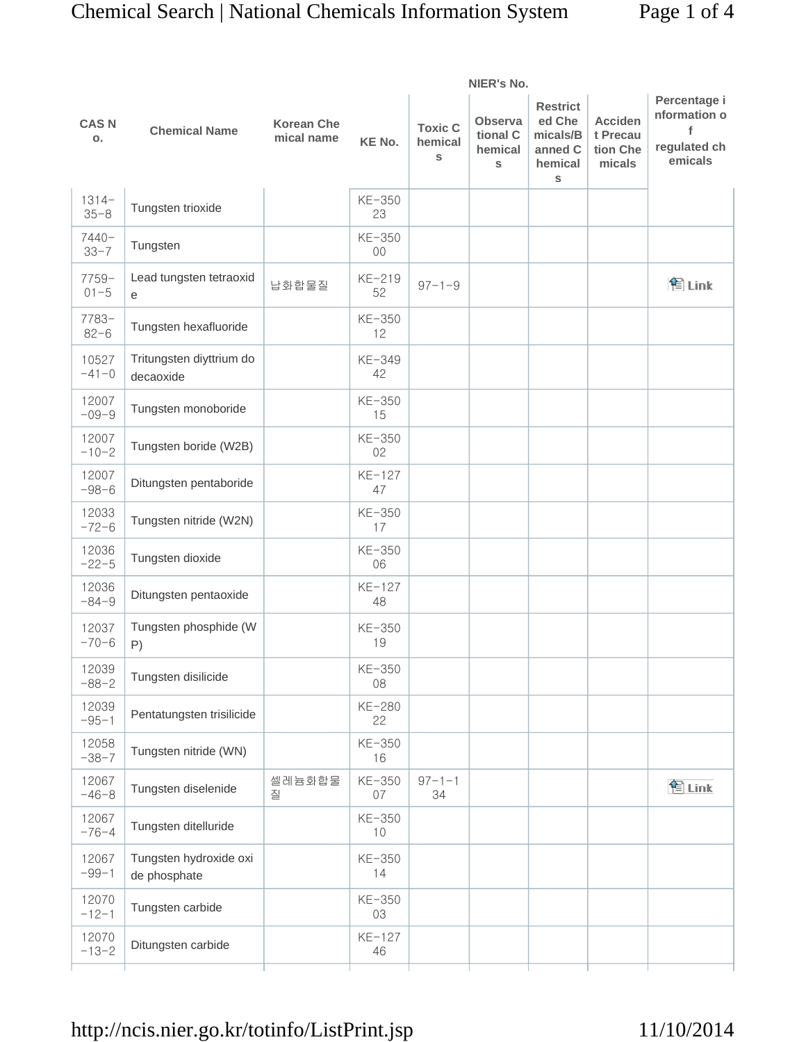|                     | NIER's No.                             |                                 |               |                                |                                            |                                                                  |                                                  |                                                              |
|---------------------|----------------------------------------|---------------------------------|---------------|--------------------------------|--------------------------------------------|------------------------------------------------------------------|--------------------------------------------------|--------------------------------------------------------------|
| <b>CASN</b><br>О.   | <b>Chemical Name</b>                   | <b>Korean Che</b><br>mical name | <b>KE No.</b> | <b>Toxic C</b><br>hemical<br>S | <b>Observa</b><br>tional C<br>hemical<br>S | <b>Restrict</b><br>ed Che<br>micals/B<br>anned C<br>hemical<br>S | <b>Acciden</b><br>t Precau<br>tion Che<br>micals | Percentage i<br>nformation o<br>f<br>regulated ch<br>emicals |
| $1314-$<br>$35 - 8$ | Tungsten trioxide                      |                                 | KE-350<br>23  |                                |                                            |                                                                  |                                                  |                                                              |
| 7440-<br>$33 - 7$   | Tungsten                               |                                 | KE-350<br>00  |                                |                                            |                                                                  |                                                  |                                                              |
| $7759-$<br>$01 - 5$ | Lead tungsten tetraoxid<br>е           | 납화합물질                           | KE-219<br>52  | $97 - 1 - 9$                   |                                            |                                                                  |                                                  | <b>ξ</b> Link                                                |
| $7783-$<br>$82 - 6$ | Tungsten hexafluoride                  |                                 | KE-350<br>12  |                                |                                            |                                                                  |                                                  |                                                              |
| 10527<br>$-41-0$    | Tritungsten diyttrium do<br>decaoxide  |                                 | KE-349<br>42  |                                |                                            |                                                                  |                                                  |                                                              |
| 12007<br>$-09-9$    | Tungsten monoboride                    |                                 | KE-350<br>15  |                                |                                            |                                                                  |                                                  |                                                              |
| 12007<br>$-10-2$    | Tungsten boride (W2B)                  |                                 | KE-350<br>02  |                                |                                            |                                                                  |                                                  |                                                              |
| 12007<br>$-98-6$    | Ditungsten pentaboride                 |                                 | KE-127<br>47  |                                |                                            |                                                                  |                                                  |                                                              |
| 12033<br>$-72-6$    | Tungsten nitride (W2N)                 |                                 | KE-350<br>17  |                                |                                            |                                                                  |                                                  |                                                              |
| 12036<br>$-22-5$    | Tungsten dioxide                       |                                 | KE-350<br>06  |                                |                                            |                                                                  |                                                  |                                                              |
| 12036<br>$-84-9$    | Ditungsten pentaoxide                  |                                 | KE-127<br>48  |                                |                                            |                                                                  |                                                  |                                                              |
| 12037<br>$-70-6$    | Tungsten phosphide (W<br>P)            |                                 | KE-350<br>19  |                                |                                            |                                                                  |                                                  |                                                              |
| 12039<br>$-88-2$    | Tungsten disilicide                    |                                 | KE-350<br>08  |                                |                                            |                                                                  |                                                  |                                                              |
| 12039<br>$-95-1$    | Pentatungsten trisilicide              |                                 | KE-280<br>22  |                                |                                            |                                                                  |                                                  |                                                              |
| 12058<br>$-38-7$    | Tungsten nitride (WN)                  |                                 | KE-350<br>16  |                                |                                            |                                                                  |                                                  |                                                              |
| 12067<br>$-46-8$    | Tungsten diselenide                    | 셀레늄화합물<br>질                     | KE-350<br>07  | $97 - 1 - 1$<br>34             |                                            |                                                                  |                                                  | 图 Link                                                       |
| 12067<br>$-76-4$    | Tungsten ditelluride                   |                                 | KE-350<br>10  |                                |                                            |                                                                  |                                                  |                                                              |
| 12067<br>$-99-1$    | Tungsten hydroxide oxi<br>de phosphate |                                 | KE-350<br>14  |                                |                                            |                                                                  |                                                  |                                                              |
| 12070<br>$-12-1$    | Tungsten carbide                       |                                 | KE-350<br>03  |                                |                                            |                                                                  |                                                  |                                                              |
| 12070<br>$-13-2$    | Ditungsten carbide                     |                                 | KE-127<br>46  |                                |                                            |                                                                  |                                                  |                                                              |
|                     |                                        |                                 |               |                                |                                            |                                                                  |                                                  |                                                              |

# http://ncis.nier.go.kr/totinfo/ListPrint.jsp 11/10/2014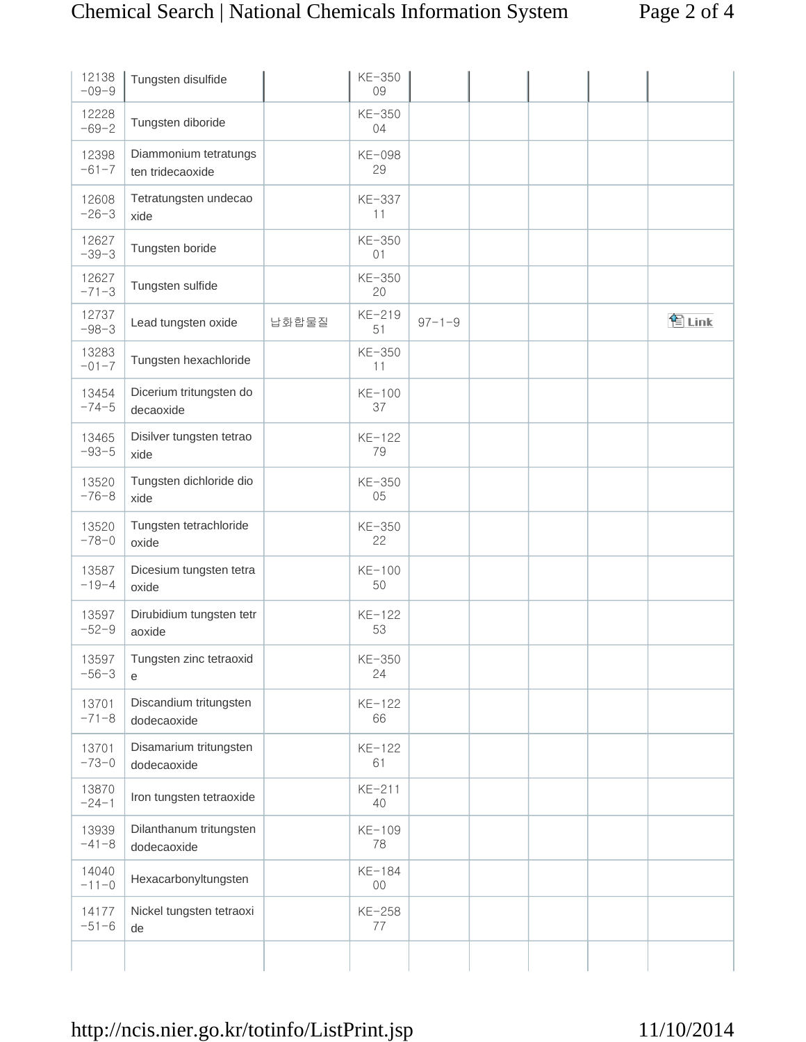| 12138<br>$-09-9$   | Tungsten disulfide                        |       | KE-350<br>09   |              |  |       |
|--------------------|-------------------------------------------|-------|----------------|--------------|--|-------|
| 12228<br>$-69-2$   | Tungsten diboride                         |       | KE-350<br>04   |              |  |       |
| 12398<br>$-61 - 7$ | Diammonium tetratungs<br>ten tridecaoxide |       | KE-098<br>29   |              |  |       |
| 12608<br>$-26-3$   | Tetratungsten undecao<br>xide             |       | KE-337<br>11   |              |  |       |
| 12627<br>$-39-3$   | Tungsten boride                           |       | KE-350<br>01   |              |  |       |
| 12627<br>$-71-3$   | Tungsten sulfide                          |       | KE-350<br>20   |              |  |       |
| 12737<br>$-98-3$   | Lead tungsten oxide                       | 납화합물질 | KE-219<br>51   | $97 - 1 - 9$ |  | 图Link |
| 13283<br>$-01-7$   | Tungsten hexachloride                     |       | KE-350<br>11   |              |  |       |
| 13454<br>$-74-5$   | Dicerium tritungsten do<br>decaoxide      |       | KE-100<br>37   |              |  |       |
| 13465<br>$-93-5$   | Disilver tungsten tetrao<br>xide          |       | $KE-122$<br>79 |              |  |       |
| 13520<br>$-76-8$   | Tungsten dichloride dio<br>xide           |       | KE-350<br>05   |              |  |       |
| 13520<br>$-78 - 0$ | Tungsten tetrachloride<br>oxide           |       | KE-350<br>22   |              |  |       |
| 13587<br>$-19-4$   | Dicesium tungsten tetra<br>oxide          |       | KE-100<br>50   |              |  |       |
| 13597<br>$-52-9$   | Dirubidium tungsten tetr<br>aoxide        |       | $KE-122$<br>53 |              |  |       |
| 13597<br>$-56-3$   | Tungsten zinc tetraoxid<br>е              |       | KE-350<br>24   |              |  |       |
| 13701<br>$-71-8$   | Discandium tritungsten<br>dodecaoxide     |       | KE-122<br>66   |              |  |       |
| 13701<br>$-73-0$   | Disamarium tritungsten<br>dodecaoxide     |       | $KE-122$<br>61 |              |  |       |
| 13870<br>$-24-1$   | Iron tungsten tetraoxide                  |       | KE-211<br>40   |              |  |       |
| 13939<br>$-41-8$   | Dilanthanum tritungsten<br>dodecaoxide    |       | KE-109<br>78   |              |  |       |
| 14040<br>$-11-0$   | Hexacarbonyltungsten                      |       | KE-184<br>00   |              |  |       |
| 14177<br>$-51-6$   | Nickel tungsten tetraoxi<br>de            |       | KE-258<br>77   |              |  |       |
|                    |                                           |       |                |              |  |       |

# http://ncis.nier.go.kr/totinfo/ListPrint.jsp 11/10/2014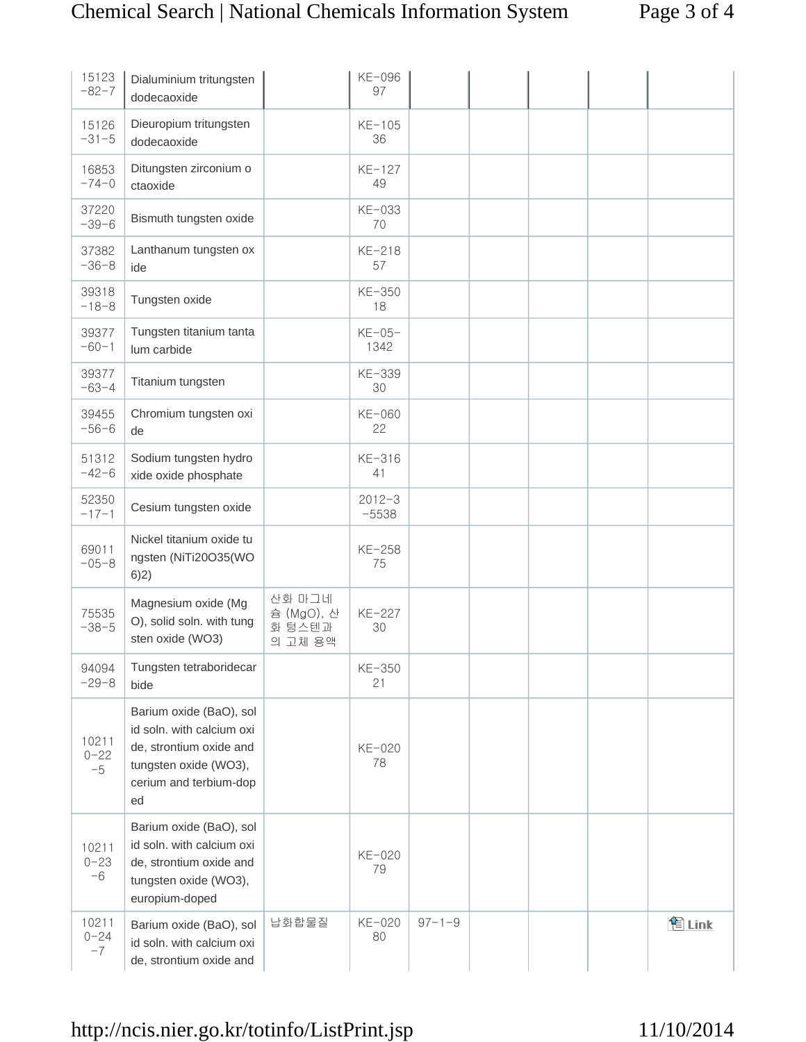| 15123<br>$-82-7$          | Dialuminium tritungsten<br>dodecaoxide                                                                                                   |                                           | KE-096<br>97          |              |  |       |
|---------------------------|------------------------------------------------------------------------------------------------------------------------------------------|-------------------------------------------|-----------------------|--------------|--|-------|
| 15126<br>$-31-5$          | Dieuropium tritungsten<br>dodecaoxide                                                                                                    |                                           | KE-105<br>36          |              |  |       |
| 16853<br>$-74-0$          | Ditungsten zirconium o<br>ctaoxide                                                                                                       |                                           | KE-127<br>49          |              |  |       |
| 37220<br>$-39-6$          | Bismuth tungsten oxide                                                                                                                   |                                           | KE-033<br>70          |              |  |       |
| 37382<br>$-36-8$          | Lanthanum tungsten ox<br>ide                                                                                                             |                                           | KE-218<br>57          |              |  |       |
| 39318<br>$-18-8$          | Tungsten oxide                                                                                                                           |                                           | KE-350<br>18          |              |  |       |
| 39377<br>$-60-1$          | Tungsten titanium tanta<br>lum carbide                                                                                                   |                                           | $KE-05-$<br>1342      |              |  |       |
| 39377<br>$-63-4$          | Titanium tungsten                                                                                                                        |                                           | KE-339<br>30          |              |  |       |
| 39455<br>$-56-6$          | Chromium tungsten oxi<br>de                                                                                                              |                                           | KE-060<br>22          |              |  |       |
| 51312<br>$-42-6$          | Sodium tungsten hydro<br>xide oxide phosphate                                                                                            |                                           | KE-316<br>41          |              |  |       |
| 52350<br>$-17-1$          | Cesium tungsten oxide                                                                                                                    |                                           | $2012 - 3$<br>$-5538$ |              |  |       |
| 69011<br>$-05-8$          | Nickel titanium oxide tu<br>ngsten (NiTi20O35(WO<br>6)2)                                                                                 |                                           | KE-258<br>75          |              |  |       |
| 75535<br>$-38-5$          | Magnesium oxide (Mg<br>O), solid soln. with tung<br>sten oxide (WO3)                                                                     | 산화 마그네<br>슘 (MgO), 산<br>화 텅스텐과<br>의 고체 용액 | KE-227<br>30          |              |  |       |
| 94094<br>$-29-8$          | Tungsten tetraboridecar<br>bide                                                                                                          |                                           | KE-350<br>21          |              |  |       |
| 10211<br>$0 - 22$<br>$-5$ | Barium oxide (BaO), sol<br>id soln. with calcium oxi<br>de, strontium oxide and<br>tungsten oxide (WO3),<br>cerium and terbium-dop<br>ed |                                           | KE-020<br>78          |              |  |       |
| 10211<br>$0 - 23$<br>$-6$ | Barium oxide (BaO), sol<br>id soln. with calcium oxi<br>de, strontium oxide and<br>tungsten oxide (WO3),<br>europium-doped               |                                           | KE-020<br>79          |              |  |       |
| 10211<br>$0 - 24$<br>$-7$ | Barium oxide (BaO), sol<br>id soln. with calcium oxi<br>de, strontium oxide and                                                          | 납화합물질                                     | KE-020<br>80          | $97 - 1 - 9$ |  | 图Link |

# http://ncis.nier.go.kr/totinfo/ListPrint.jsp 11/10/2014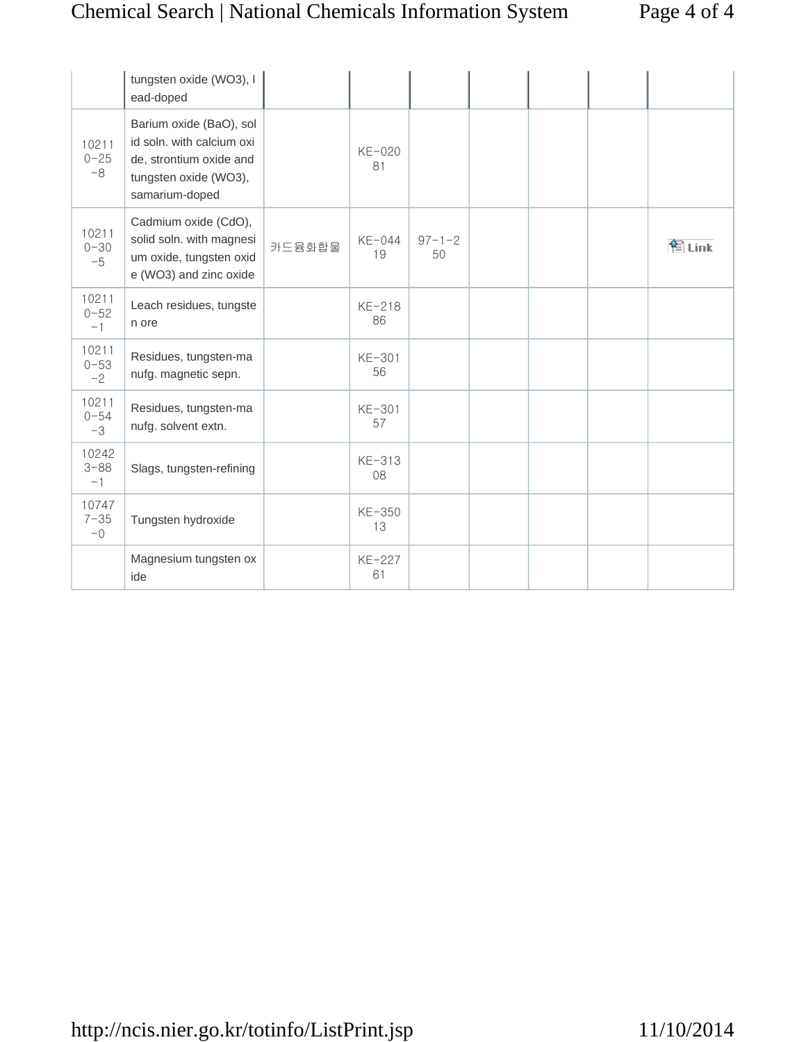# Chemical Search | National Chemicals Information System Page 4 of 4

|                           | tungsten oxide (WO3), I<br>ead-doped                                                                                       |        |                |                    |  |        |
|---------------------------|----------------------------------------------------------------------------------------------------------------------------|--------|----------------|--------------------|--|--------|
| 10211<br>$0 - 25$<br>$-8$ | Barium oxide (BaO), sol<br>id soln. with calcium oxi<br>de, strontium oxide and<br>tungsten oxide (WO3),<br>samarium-doped |        | $KE-020$<br>81 |                    |  |        |
| 10211<br>$0 - 30$<br>$-5$ | Cadmium oxide (CdO),<br>solid soln. with magnesi<br>um oxide, tungsten oxid<br>e (WO3) and zinc oxide                      | 카드뮴화합물 | KE-044<br>19   | $97 - 1 - 2$<br>50 |  | 图 Link |
| 10211<br>$0 - 52$<br>$-1$ | Leach residues, tungste<br>n ore                                                                                           |        | KE-218<br>86   |                    |  |        |
| 10211<br>$0 - 53$<br>$-2$ | Residues, tungsten-ma<br>nufg. magnetic sepn.                                                                              |        | KE-301<br>56   |                    |  |        |
| 10211<br>$0 - 54$<br>$-3$ | Residues, tungsten-ma<br>nufg. solvent extn.                                                                               |        | KE-301<br>57   |                    |  |        |
| 10242<br>$3 - 88$<br>$-1$ | Slags, tungsten-refining                                                                                                   |        | KE-313<br>08   |                    |  |        |
| 10747<br>$7 - 35$<br>$-0$ | Tungsten hydroxide                                                                                                         |        | KE-350<br>13   |                    |  |        |
|                           | Magnesium tungsten ox<br>ide                                                                                               |        | KE-227<br>61   |                    |  |        |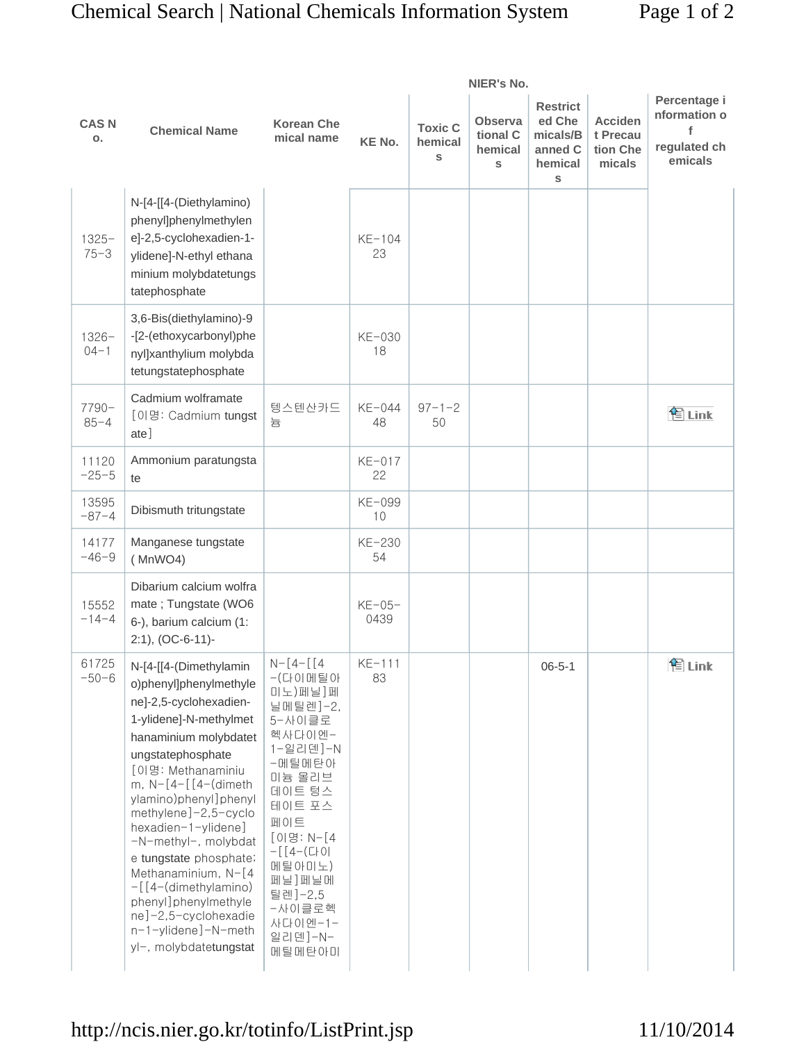|                               |                                                                                                                                                                                                                                                                                                                                                                                                                                                                                | NIER's No.                                                                                                                                                                                                                             |                  |                                |                                            |                                                                  |                                                  |                                                         |  |
|-------------------------------|--------------------------------------------------------------------------------------------------------------------------------------------------------------------------------------------------------------------------------------------------------------------------------------------------------------------------------------------------------------------------------------------------------------------------------------------------------------------------------|----------------------------------------------------------------------------------------------------------------------------------------------------------------------------------------------------------------------------------------|------------------|--------------------------------|--------------------------------------------|------------------------------------------------------------------|--------------------------------------------------|---------------------------------------------------------|--|
| <b>CASN</b><br>$\mathbf{o}$ . | <b>Chemical Name</b>                                                                                                                                                                                                                                                                                                                                                                                                                                                           | <b>Korean Che</b><br>mical name                                                                                                                                                                                                        | <b>KE No.</b>    | <b>Toxic C</b><br>hemical<br>S | <b>Observa</b><br>tional C<br>hemical<br>S | <b>Restrict</b><br>ed Che<br>micals/B<br>anned C<br>hemical<br>S | <b>Acciden</b><br>t Precau<br>tion Che<br>micals | Percentage i<br>nformation o<br>regulated ch<br>emicals |  |
| $1325 -$<br>$75 - 3$          | N-[4-[[4-(Diethylamino)<br>phenyl]phenylmethylen<br>e]-2,5-cyclohexadien-1-<br>ylidene]-N-ethyl ethana<br>minium molybdatetungs<br>tatephosphate                                                                                                                                                                                                                                                                                                                               |                                                                                                                                                                                                                                        | $KE-104$<br>23   |                                |                                            |                                                                  |                                                  |                                                         |  |
| $1326 -$<br>$04 - 1$          | 3,6-Bis(diethylamino)-9<br>-[2-(ethoxycarbonyl)phe<br>nyl]xanthylium molybda<br>tetungstatephosphate                                                                                                                                                                                                                                                                                                                                                                           |                                                                                                                                                                                                                                        | KE-030<br>18     |                                |                                            |                                                                  |                                                  |                                                         |  |
| 7790-<br>$85 - 4$             | Cadmium wolframate<br>[이명: Cadmium tungst<br>ate]                                                                                                                                                                                                                                                                                                                                                                                                                              | 텡스텐산카드<br>늄                                                                                                                                                                                                                            | KE-044<br>48     | $97 - 1 - 2$<br>50             |                                            |                                                                  |                                                  | 图 Link                                                  |  |
| 11120<br>$-25-5$              | Ammonium paratungsta<br>te                                                                                                                                                                                                                                                                                                                                                                                                                                                     |                                                                                                                                                                                                                                        | $KE-017$<br>22   |                                |                                            |                                                                  |                                                  |                                                         |  |
| 13595<br>$-87-4$              | Dibismuth tritungstate                                                                                                                                                                                                                                                                                                                                                                                                                                                         |                                                                                                                                                                                                                                        | KE-099<br>10     |                                |                                            |                                                                  |                                                  |                                                         |  |
| 14177<br>$-46-9$              | Manganese tungstate<br>(MnWO4)                                                                                                                                                                                                                                                                                                                                                                                                                                                 |                                                                                                                                                                                                                                        | KE-230<br>54     |                                |                                            |                                                                  |                                                  |                                                         |  |
| 15552<br>$-14-4$              | Dibarium calcium wolfra<br>mate; Tungstate (WO6<br>6-), barium calcium (1:<br>$2:1$ ), (OC-6-11)-                                                                                                                                                                                                                                                                                                                                                                              |                                                                                                                                                                                                                                        | $KE-05-$<br>0439 |                                |                                            |                                                                  |                                                  |                                                         |  |
| 61725<br>$-50-6$              | N-[4-[[4-(Dimethylamin<br>o)phenyl]phenylmethyle<br>ne]-2,5-cyclohexadien-<br>1-ylidene]-N-methylmet<br>hanaminium molybdatet<br>ungstatephosphate<br>[이명: Methanaminiu<br>m, $N-[4-[4-(diment)]$<br>ylamino)phenyl]phenyl<br>methylene]-2,5-cyclo<br>hexadien-1-ylidene]<br>-N-methyl-, molybdat<br>e tungstate phosphate;<br>Methanaminium, N-[4<br>$-[$ [4-(dimethylamino)<br>phenyl]phenylmethyle<br>ne]-2,5-cyclohexadie<br>n-1-ylidene]-N-meth<br>yl-, molybdatetungstat | $N-[4-[4]$<br>-(다이메틸아<br>미노)페닐]페<br>닐메틸렌]-2,<br>5-사이클로<br>헥사다이엔-<br>1-일리덴]-N<br>-메틸메탄아<br>미늄 몰리브<br>데이트 텅스<br>테이트 포스<br>페이트<br>[이명: N-[4<br>$-$ [ $[4-(C+O)]$<br>메틸아미노)<br>페닐]페닐메<br>틸렌]-2,5<br>-사이클로헥<br>사다이엔-1-<br>일리덴]-N-<br>메틸메탄아미 | $KE-111$<br>83   |                                |                                            | $06 - 5 - 1$                                                     |                                                  | 图Link                                                   |  |

# http://ncis.nier.go.kr/totinfo/ListPrint.jsp

11/10/2014